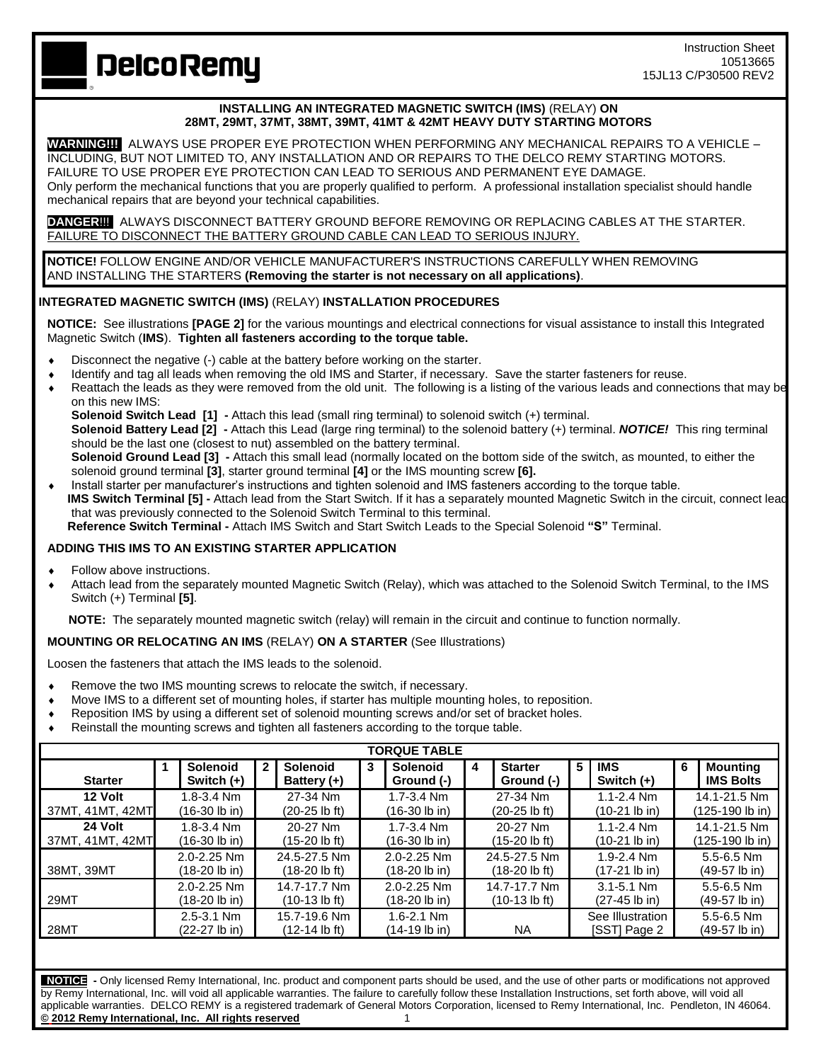**DelcoRemy** 

## **INSTALLING AN INTEGRATED MAGNETIC SWITCH (IMS)** (RELAY) **ON 28MT, 29MT, 37MT, 38MT, 39MT, 41MT & 42MT HEAVY DUTY STARTING MOTORS**

**WARNING!!!** ALWAYS USE PROPER EYE PROTECTION WHEN PERFORMING ANY MECHANICAL REPAIRS TO A VEHICLE – INCLUDING, BUT NOT LIMITED TO, ANY INSTALLATION AND OR REPAIRS TO THE DELCO REMY STARTING MOTORS. FAILURE TO USE PROPER EYE PROTECTION CAN LEAD TO SERIOUS AND PERMANENT EYE DAMAGE. Only perform the mechanical functions that you are properly qualified to perform. A professional installation specialist should handle mechanical repairs that are beyond your technical capabilities.

**DANGER**!!! ALWAYS DISCONNECT BATTERY GROUND BEFORE REMOVING OR REPLACING CABLES AT THE STARTER. FAILURE TO DISCONNECT THE BATTERY GROUND CABLE CAN LEAD TO SERIOUS INJURY.

**NOTICE!** FOLLOW ENGINE AND/OR VEHICLE MANUFACTURER'S INSTRUCTIONS CAREFULLY WHEN REMOVING AND INSTALLING THE STARTERS **(Removing the starter is not necessary on all applications)**.

## **INTEGRATED MAGNETIC SWITCH (IMS)** (RELAY) **INSTALLATION PROCEDURES**

**NOTICE:** See illustrations **[PAGE 2]** for the various mountings and electrical connections for visual assistance to install this Integrated Magnetic Switch (**IMS**). **Tighten all fasteners according to the torque table.** 

- Disconnect the negative (-) cable at the battery before working on the starter.
- Identify and tag all leads when removing the old IMS and Starter, if necessary. Save the starter fasteners for reuse.
- Reattach the leads as they were removed from the old unit. The following is a listing of the various leads and connections that may be on this new IMS:

**Solenoid Switch Lead [1] -** Attach this lead (small ring terminal) to solenoid switch (+) terminal.

**Solenoid Battery Lead [2] -** Attach this Lead (large ring terminal) to the solenoid battery (+) terminal. *NOTICE!* This ring terminal should be the last one (closest to nut) assembled on the battery terminal.

**Solenoid Ground Lead [3] -** Attach this small lead (normally located on the bottom side of the switch, as mounted, to either the solenoid ground terminal **[3]**, starter ground terminal **[4]** or the IMS mounting screw **[6].** 

 Install starter per manufacturer's instructions and tighten solenoid and IMS fasteners according to the torque table. **IMS** Switch Terminal [5] - Attach lead from the Start Switch. If it has a separately mounted Magnetic Switch in the circuit, connect lead that was previously connected to the Solenoid Switch Terminal to this terminal.  **Reference Switch Terminal -** Attach IMS Switch and Start Switch Leads to the Special Solenoid **"S"** Terminal.

## **ADDING THIS IMS TO AN EXISTING STARTER APPLICATION**

- Follow above instructions.
- Attach lead from the separately mounted Magnetic Switch (Relay), which was attached to the Solenoid Switch Terminal, to the IMS Switch (+) Terminal **[5]**.

 **NOTE:** The separately mounted magnetic switch (relay) will remain in the circuit and continue to function normally.

## **MOUNTING OR RELOCATING AN IMS** (RELAY) **ON A STARTER** (See Illustrations)

Loosen the fasteners that attach the IMS leads to the solenoid.

- Remove the two IMS mounting screws to relocate the switch, if necessary.
- Move IMS to a different set of mounting holes, if starter has multiple mounting holes, to reposition.
- Reposition IMS by using a different set of solenoid mounting screws and/or set of bracket holes.
- Reinstall the mounting screws and tighten all fasteners according to the torque table.

| <b>TORQUE TABLE</b>         |  |                                  |              |                                                 |   |                                    |   |                               |   |                                           |   |                                           |
|-----------------------------|--|----------------------------------|--------------|-------------------------------------------------|---|------------------------------------|---|-------------------------------|---|-------------------------------------------|---|-------------------------------------------|
| <b>Starter</b>              |  | Solenoid<br>Switch (+)           | $\mathbf{2}$ | Solenoid<br>Battery (+)                         | 3 | Solenoid<br>Ground (-)             | 4 | <b>Starter</b><br>Ground (-)  | 5 | <b>IMS</b><br>Switch $(+)$                | 6 | <b>Mounting</b><br><b>IMS Bolts</b>       |
| 12 Volt<br>37MT, 41MT, 42MT |  | $1.8 - 3.4$ Nm<br>(16-30 lb in)  |              | 27-34 Nm<br>(20-25 lb ft)                       |   | $1.7 - 3.4$ Nm<br>$(16-30$ lb in)  |   | 27-34 Nm<br>(20-25 lb ft)     |   | $1.1 - 2.4$ Nm<br>$(10-21$ lb in)         |   | 14.1-21.5 Nm<br>$(125-190 \text{ lb in})$ |
| 24 Volt<br>37MT, 41MT, 42MT |  | $1.8 - 3.4$ Nm<br>(16-30 lb in)  |              | 20-27 Nm<br>(15-20 lb ft)                       |   | $1.7 - 3.4$ Nm<br>$(16-30)$ lb in  |   | 20-27 Nm<br>(15-20 lb ft)     |   | $1.1 - 2.4$ Nm<br>(10-21 lb in)           |   | 14.1-21.5 Nm<br>(125-190 lb in)           |
| 38MT, 39MT                  |  | $2.0 - 2.25$ Nm<br>(18-20 lb in) |              | 24.5-27.5 Nm<br>(18-20 lb ft)                   |   | $2.0 - 2.25$ Nm<br>$(18-20$ lb in) |   | 24.5-27.5 Nm<br>(18-20 lb ft) |   | $1.9 - 2.4$ Nm<br>(17-21 lb in)           |   | $5.5 - 6.5$ Nm<br>(49-57 lb in)           |
| 29MT                        |  | 2.0-2.25 Nm<br>(18-20 lb in)     |              | 14.7-17.7 Nm<br>$(10-13 \text{ lb } \text{ft})$ |   | 2.0-2.25 Nm<br>$(18-20$ lb in)     |   | 14.7-17.7 Nm<br>(10-13 lb ft) |   | $3.1 - 5.1$ Nm<br>$(27-45 \text{ lb in})$ |   | $5.5 - 6.5$ Nm<br>(49-57 lb in)           |
| 28MT                        |  | $2.5 - 3.1$ Nm<br>(22-27 lb in)  |              | 15.7-19.6 Nm<br>(12-14 lb ft)                   |   | $1.6 - 2.1$ Nm<br>(14-19 lb in)    |   | <b>NA</b>                     |   | See Illustration<br>[SST] Page 2          |   | $5.5 - 6.5$ Nm<br>(49-57 lb in)           |

 **NOTICE -** Only licensed Remy International, Inc. product and component parts should be used, and the use of other parts or modifications not approved by Remy International, Inc. will void all applicable warranties. The failure to carefully follow these Installation Instructions, set forth above, will void all applicable warranties. DELCO REMY is a registered trademark of General Motors Corporation, licensed to Remy International, Inc. Pendleton, IN 46064. **© 2012 Remy International, Inc. All rights reserved** 1